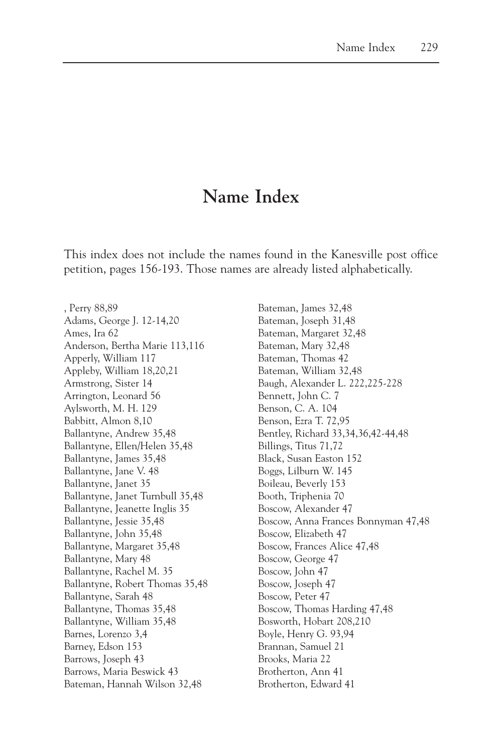## **Name Index**

This index does not include the names found in the Kanesville post office petition, pages 156-193. Those names are already listed alphabetically.

, Perry 88,89 Adams, George J. 12-14,20 Ames, Ira 62 Anderson, Bertha Marie 113,116 Apperly, William 117 Appleby, William 18,20,21 Armstrong, Sister 14 Arrington, Leonard 56 Aylsworth, M. H. 129 Babbitt, Almon 8,10 Ballantyne, Andrew 35,48 Ballantyne, Ellen/Helen 35,48 Ballantyne, James 35,48 Ballantyne, Jane V. 48 Ballantyne, Janet 35 Ballantyne, Janet Turnbull 35,48 Ballantyne, Jeanette Inglis 35 Ballantyne, Jessie 35,48 Ballantyne, John 35,48 Ballantyne, Margaret 35,48 Ballantyne, Mary 48 Ballantyne, Rachel M. 35 Ballantyne, Robert Thomas 35,48 Ballantyne, Sarah 48 Ballantyne, Thomas 35,48 Ballantyne, William 35,48 Barnes, Lorenzo 3,4 Barney, Edson 153 Barrows, Joseph 43 Barrows, Maria Beswick 43 Bateman, Hannah Wilson 32,48

Bateman, James 32,48 Bateman, Joseph 31,48 Bateman, Margaret 32,48 Bateman, Mary 32,48 Bateman, Thomas 42 Bateman, William 32,48 Baugh, Alexander L. 222,225-228 Bennett, John C. 7 Benson, C. A. 104 Benson, Ezra T. 72,95 Bentley, Richard 33,34,36,42-44,48 Billings, Titus 71,72 Black, Susan Easton 152 Boggs, Lilburn W. 145 Boileau, Beverly 153 Booth, Triphenia 70 Boscow, Alexander 47 Boscow, Anna Frances Bonnyman 47,48 Boscow, Elizabeth 47 Boscow, Frances Alice 47,48 Boscow, George 47 Boscow, John 47 Boscow, Joseph 47 Boscow, Peter 47 Boscow, Thomas Harding 47,48 Bosworth, Hobart 208,210 Boyle, Henry G. 93,94 Brannan, Samuel 21 Brooks, Maria 22 Brotherton, Ann 41 Brotherton, Edward 41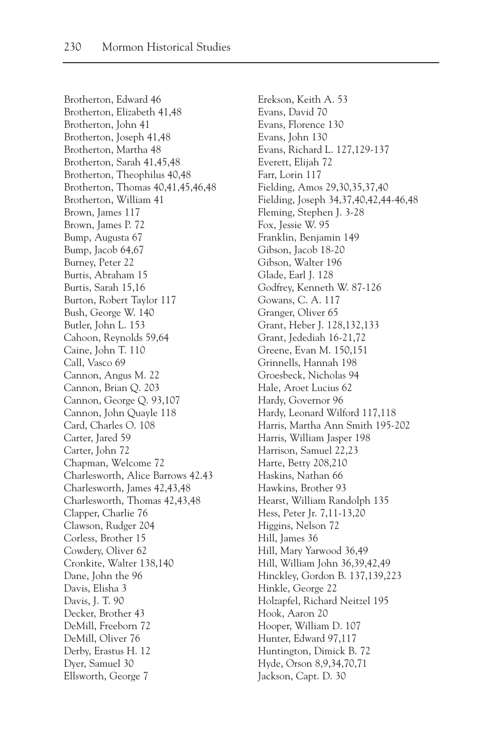Brotherton, Edward 46 Brotherton, Elizabeth 41,48 Brotherton, John 41 Brotherton, Joseph 41,48 Brotherton, Martha 48 Brotherton, Sarah 41,45,48 Brotherton, Theophilus 40,48 Brotherton, Thomas 40,41,45,46,48 Brotherton, William 41 Brown, James 117 Brown, James P. 72 Bump, Augusta 67 Bump, Jacob 64,67 Burney, Peter 22 Burtis, Abraham 15 Burtis, Sarah 15,16 Burton, Robert Taylor 117 Bush, George W. 140 Butler, John L. 153 Cahoon, Reynolds 59,64 Caine, John T. 110 Call, Vasco 69 Cannon, Angus M. 22 Cannon, Brian Q. 203 Cannon, George Q. 93,107 Cannon, John Quayle 118 Card, Charles O. 108 Carter, Jared 59 Carter, John 72 Chapman, Welcome 72 Charlesworth, Alice Barrows 42.43 Charlesworth, James 42,43,48 Charlesworth, Thomas 42,43,48 Clapper, Charlie 76 Clawson, Rudger 204 Corless, Brother 15 Cowdery, Oliver 62 Cronkite, Walter 138,140 Dane, John the 96 Davis, Elisha 3 Davis, J. T. 90 Decker, Brother 43 DeMill, Freeborn 72 DeMill, Oliver 76 Derby, Erastus H. 12 Dyer, Samuel 30 Ellsworth, George 7

Erekson, Keith A. 53 Evans, David 70 Evans, Florence 130 Evans, John 130 Evans, Richard L. 127,129-137 Everett, Elijah 72 Farr, Lorin 117 Fielding, Amos 29,30,35,37,40 Fielding, Joseph 34,37,40,42,44-46,48 Fleming, Stephen J. 3-28 Fox, Jessie W. 95 Franklin, Benjamin 149 Gibson, Jacob 18-20 Gibson, Walter 196 Glade, Earl J. 128 Godfrey, Kenneth W. 87-126 Gowans, C. A. 117 Granger, Oliver 65 Grant, Heber J. 128,132,133 Grant, Jedediah 16-21,72 Greene, Evan M. 150,151 Grinnells, Hannah 198 Groesbeck, Nicholas 94 Hale, Aroet Lucius 62 Hardy, Governor 96 Hardy, Leonard Wilford 117,118 Harris, Martha Ann Smith 195-202 Harris, William Jasper 198 Harrison, Samuel 22,23 Harte, Betty 208,210 Haskins, Nathan 66 Hawkins, Brother 93 Hearst, William Randolph 135 Hess, Peter Jr. 7,11-13,20 Higgins, Nelson 72 Hill, James 36 Hill, Mary Yarwood 36,49 Hill, William John 36,39,42,49 Hinckley, Gordon B. 137,139,223 Hinkle, George 22 Holzapfel, Richard Neitzel 195 Hook, Aaron 20 Hooper, William D. 107 Hunter, Edward 97,117 Huntington, Dimick B. 72 Hyde, Orson 8,9,34,70,71 Jackson, Capt. D. 30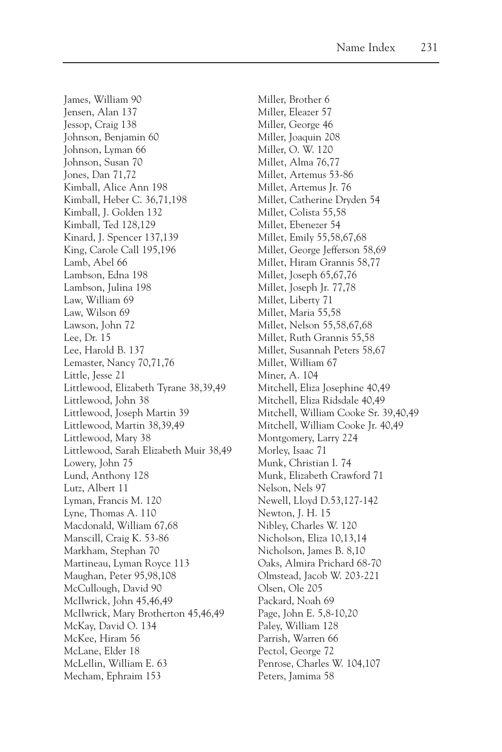James, William 90 Jensen, Alan 137 Jessop, Craig 138 Johnson, Benjamin 60 Johnson, Lyman 66 Johnson, Susan 70 Jones, Dan 71,72 Kimball, Alice Ann 198 Kimball, Heber C. 36,71,198 Kimball, J. Golden 132 Kimball, Ted 128,129 Kinard, J. Spencer 137,139 King, Carole Call 195,196 Lamb, Abel 66 Lambson, Edna 198 Lambson, Julina 198 Law, William 69 Law, Wilson 69 Lawson, John 72 Lee, Dr. 15 Lee, Harold B. 137 Lemaster, Nancy 70,71,76 Little, Jesse 21 Littlewood, Elizabeth Tyrane 38,39,49 Littlewood, John 38 Littlewood, Joseph Martin 39 Littlewood, Martin 38,39,49 Littlewood, Mary 38 Littlewood, Sarah Elizabeth Muir 38,49 Lowery, John 75 Lund, Anthony 128 Lutz, Albert 11 Lyman, Francis M. 120 Lyne, Thomas A. 110 Macdonald, William 67,68 Manscill, Craig K. 53-86 Markham, Stephan 70 Martineau, Lyman Royce 113 Maughan, Peter 95,98,108 McCullough, David 90 McIlwrick, John 45,46,49 McIlwrick, Mary Brotherton 45,46,49 McKay, David O. 134 McKee, Hiram 56 McLane, Elder 18 McLellin, William E. 63 Mecham, Ephraim 153

Miller, Brother 6 Miller, Eleazer 57 Miller, George 46 Miller, Joaquin 208 Miller, O. W. 120 Millet, Alma 76,77 Millet, Artemus 53-86 Millet, Artemus Jr. 76 Millet, Catherine Dryden 54 Millet, Colista 55,58 Millet, Ebenezer 54 Millet, Emily 55,58,67,68 Millet, George Jefferson 58,69 Millet, Hiram Grannis 58,77 Millet, Joseph 65,67,76 Millet, Joseph Jr. 77,78 Millet, Liberty 71 Millet, Maria 55,58 Millet, Nelson 55,58,67,68 Millet, Ruth Grannis 55,58 Millet, Susannah Peters 58,67 Millet, William 67 Miner, A. 104 Mitchell, Eliza Josephine 40,49 Mitchell, Eliza Ridsdale 40,49 Mitchell, William Cooke Sr. 39,40,49 Mitchell, William Cooke Jr. 40,49 Montgomery, Larry 224 Morley, Isaac 71 Munk, Christian I. 74 Munk, Elizabeth Crawford 71 Nelson, Nels 97 Newell, Lloyd D.53,127-142 Newton, J. H. 15 Nibley, Charles W. 120 Nicholson, Eliza 10,13,14 Nicholson, James B. 8,10 Oaks, Almira Prichard 68-70 Olmstead, Jacob W. 203-221 Olsen, Ole 205 Packard, Noah 69 Page, John E. 5,8-10,20 Paley, William 128 Parrish, Warren 66 Pectol, George 72 Penrose, Charles W. 104,107 Peters, Jamima 58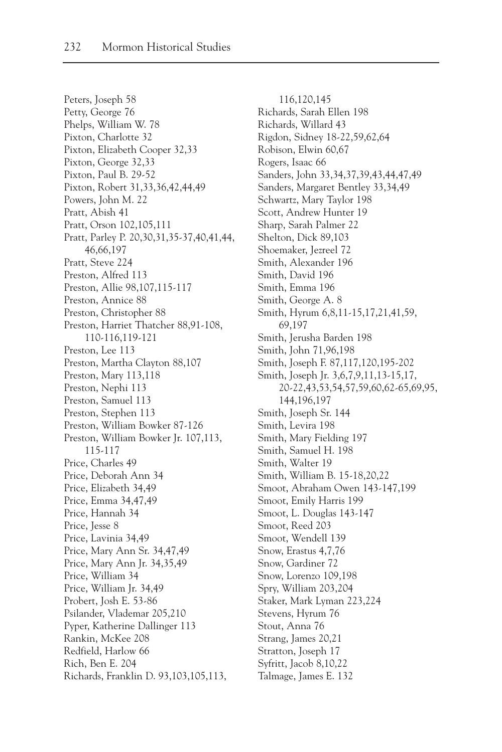Peters, Joseph 58 Petty, George 76 Phelps, William W. 78 Pixton, Charlotte 32 Pixton, Elizabeth Cooper 32,33 Pixton, George 32,33 Pixton, Paul B. 29-52 Pixton, Robert 31,33,36,42,44,49 Powers, John M. 22 Pratt, Abish 41 Pratt, Orson 102,105,111 Pratt, Parley P. 20,30,31,35-37,40,41,44, 46,66,197 Pratt, Steve 224 Preston, Alfred 113 Preston, Allie 98,107,115-117 Preston, Annice 88 Preston, Christopher 88 Preston, Harriet Thatcher 88,91-108, 110-116,119-121 Preston, Lee 113 Preston, Martha Clayton 88,107 Preston, Mary 113,118 Preston, Nephi 113 Preston, Samuel 113 Preston, Stephen 113 Preston, William Bowker 87-126 Preston, William Bowker Jr. 107,113, 115-117 Price, Charles 49 Price, Deborah Ann 34 Price, Elizabeth 34,49 Price, Emma 34,47,49 Price, Hannah 34 Price, Jesse 8 Price, Lavinia 34,49 Price, Mary Ann Sr. 34,47,49 Price, Mary Ann Jr. 34,35,49 Price, William 34 Price, William Jr. 34,49 Probert, Josh E. 53-86 Psilander, Vlademar 205,210 Pyper, Katherine Dallinger 113 Rankin, McKee 208 Redfield, Harlow 66 Rich, Ben E. 204 Richards, Franklin D. 93,103,105,113,

116,120,145 Richards, Sarah Ellen 198 Richards, Willard 43 Rigdon, Sidney 18-22,59,62,64 Robison, Elwin 60,67 Rogers, Isaac 66 Sanders, John 33,34,37,39,43,44,47,49 Sanders, Margaret Bentley 33,34,49 Schwartz, Mary Taylor 198 Scott, Andrew Hunter 19 Sharp, Sarah Palmer 22 Shelton, Dick 89,103 Shoemaker, Jezreel 72 Smith, Alexander 196 Smith, David 196 Smith, Emma 196 Smith, George A. 8 Smith, Hyrum 6,8,11-15,17,21,41,59, 69,197 Smith, Jerusha Barden 198 Smith, John 71,96,198 Smith, Joseph F. 87,117,120,195-202 Smith, Joseph Jr. 3,6,7,9,11,13-15,17, 20-22,43,53,54,57,59,60,62-65,69,95, 144,196,197 Smith, Joseph Sr. 144 Smith, Levira 198 Smith, Mary Fielding 197 Smith, Samuel H. 198 Smith, Walter 19 Smith, William B. 15-18,20,22 Smoot, Abraham Owen 143-147,199 Smoot, Emily Harris 199 Smoot, L. Douglas 143-147 Smoot, Reed 203 Smoot, Wendell 139 Snow, Erastus 4,7,76 Snow, Gardiner 72 Snow, Lorenzo 109,198 Spry, William 203,204 Staker, Mark Lyman 223,224 Stevens, Hyrum 76 Stout, Anna 76 Strang, James 20,21 Stratton, Joseph 17 Syfritt, Jacob 8,10,22 Talmage, James E. 132